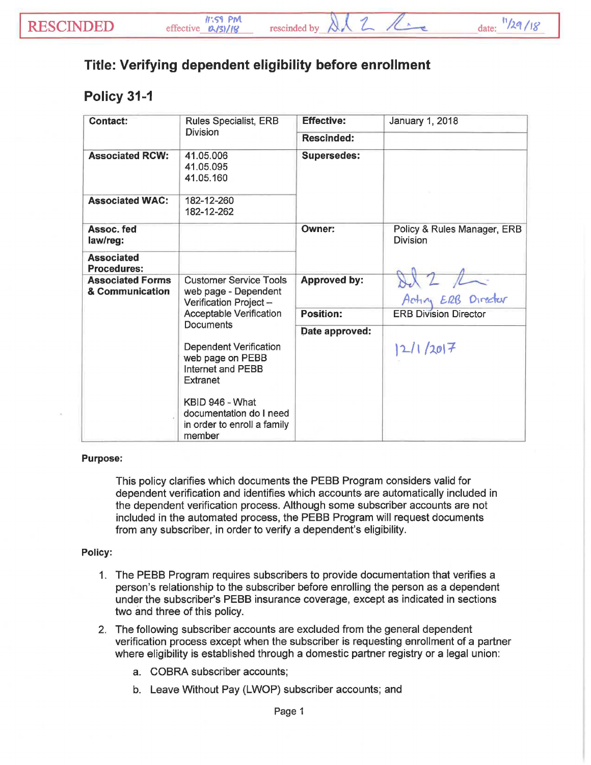## **Title: Verifying dependent eligibility before enrollment**

## **Policy 31-1**

| <b>Contact:</b>                            | <b>Rules Specialist, ERB</b><br>Division                                                                               | <b>Effective:</b>   | January 1, 2018                                |
|--------------------------------------------|------------------------------------------------------------------------------------------------------------------------|---------------------|------------------------------------------------|
|                                            |                                                                                                                        | <b>Rescinded:</b>   |                                                |
| <b>Associated RCW:</b>                     | 41.05.006<br>41.05.095<br>41.05.160                                                                                    | <b>Supersedes:</b>  |                                                |
| <b>Associated WAC:</b>                     | 182-12-260<br>182-12-262                                                                                               |                     |                                                |
| Assoc. fed<br>law/reg:                     |                                                                                                                        | Owner:              | Policy & Rules Manager, ERB<br><b>Division</b> |
| <b>Associated</b><br><b>Procedures:</b>    |                                                                                                                        |                     |                                                |
| <b>Associated Forms</b><br>& Communication | <b>Customer Service Tools</b><br>web page - Dependent<br>Verification Project-<br>Acceptable Verification<br>Documents | <b>Approved by:</b> | Del 2 /                                        |
|                                            |                                                                                                                        | <b>Position:</b>    | <b>ERB Division Director</b>                   |
|                                            |                                                                                                                        | Date approved:      |                                                |
|                                            | <b>Dependent Verification</b><br>web page on PEBB<br>Internet and PEBB<br>Extranet                                     |                     | 2/1/2017                                       |
|                                            | KBID 946 - What<br>documentation do I need<br>in order to enroll a family<br>member                                    |                     |                                                |

## Purpose:

This policy clarifies which documents the PEBB Program considers valid for dependent verification and identifies which accounts are automatically included in the dependent verification process. Although some subscriber accounts are not included in the automated process, the PEBB Program will request documents from any subscriber, in order to verify a dependent's eligibility.

## Policy:

- 1. The PEBB Program requires subscribers to provide documentation that verifies a person's relationship to the subscriber before enrolling the person as a dependent under the subscriber's PEBB insurance coverage, except as indicated in sections two and three of this policy.
- 2. The following subscriber accounts are excluded from the general dependent verification process except when the subscriber is requesting enrollment of a partner where eligibility is established through a domestic partner registry or a legal union:
	- a. COBRA subscriber accounts;
	- b. Leave Without Pay (LWOP) subscriber accounts; and